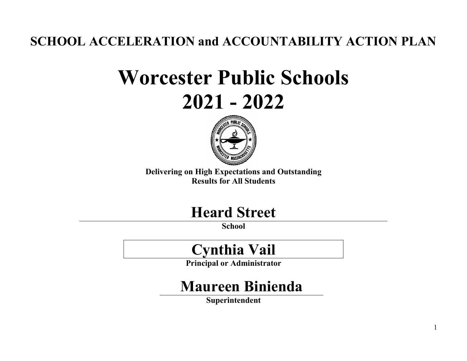**SCHOOL ACCELERATION and ACCOUNTABILITY ACTION PLAN**

# **Worcester Public Schools 2021 - 2022**



**Delivering on High Expectations and Outstanding Results for All Students**

### **Heard Street**

**School**

## **Cynthia Vail**

**Principal or Administrator**

## **Maureen Binienda**

**Superintendent**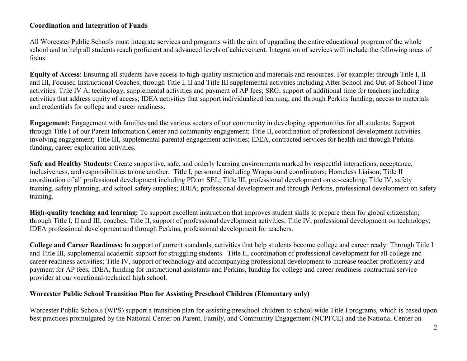#### **Coordination and Integration of Funds**

All Worcester Public Schools must integrate services and programs with the aim of upgrading the entire educational program of the whole school and to help all students reach proficient and advanced levels of achievement. Integration of services will include the following areas of focus:

**Equity of Access**: Ensuring all students have access to high-quality instruction and materials and resources. For example: through Title I, II and III, Focused Instructional Coaches; through Title I, II and Title III supplemental activities including After School and Out-of-School Time activities. Title IV A, technology, supplemental activities and payment of AP fees; SRG, support of additional time for teachers including activities that address equity of access; IDEA activities that support individualized learning, and through Perkins funding, access to materials and credentials for college and career readiness.

**Engagement:** Engagement with families and the various sectors of our community in developing opportunities for all students; Support through Title I of our Parent Information Center and community engagement; Title II, coordination of professional development activities involving engagement; Title III, supplemental parental engagement activities; IDEA, contracted services for health and through Perkins funding, career exploration activities.

**Safe and Healthy Students:** Create supportive, safe, and orderly learning environments marked by respectful interactions, acceptance, inclusiveness, and responsibilities to one another. Title I, personnel including Wraparound coordinators; Homeless Liaison; Title II coordination of all professional development including PD on SEL; Title III, professional development on co-teaching; Title IV, safety training, safety planning, and school safety supplies; IDEA; professional development and through Perkins, professional development on safety training.

**High-quality teaching and learning:** To support excellent instruction that improves student skills to prepare them for global citizenship; through Title I, II and III, coaches; Title II, support of professional development activities; Title IV, professional development on technology; IDEA professional development and through Perkins, professional development for teachers.

**College and Career Readiness:** In support of current standards, activities that help students become college and career ready: Through Title I and Title III, supplemental academic support for struggling students. Title II, coordination of professional development for all college and career readiness activities; Title IV, support of technology and accompanying professional development to increase teacher proficiency and payment for AP fees; IDEA, funding for instructional assistants and Perkins, funding for college and career readiness contractual service provider at our vocational-technical high school.

#### **Worcester Public School Transition Plan for Assisting Preschool Children (Elementary only)**

Worcester Public Schools (WPS) support a transition plan for assisting preschool children to school-wide Title I programs, which is based upon best practices promulgated by the National Center on Parent, Family, and Community Engagement (NCPFCE) and the National Center on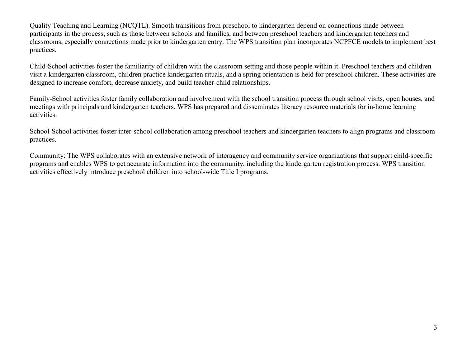Quality Teaching and Learning (NCQTL). Smooth transitions from preschool to kindergarten depend on connections made between participants in the process, such as those between schools and families, and between preschool teachers and kindergarten teachers and classrooms, especially connections made prior to kindergarten entry. The WPS transition plan incorporates NCPFCE models to implement best practices.

Child-School activities foster the familiarity of children with the classroom setting and those people within it. Preschool teachers and children visit a kindergarten classroom, children practice kindergarten rituals, and a spring orientation is held for preschool children. These activities are designed to increase comfort, decrease anxiety, and build teacher-child relationships.

Family-School activities foster family collaboration and involvement with the school transition process through school visits, open houses, and meetings with principals and kindergarten teachers. WPS has prepared and disseminates literacy resource materials for in-home learning activities.

School-School activities foster inter-school collaboration among preschool teachers and kindergarten teachers to align programs and classroom practices.

Community: The WPS collaborates with an extensive network of interagency and community service organizations that support child-specific programs and enables WPS to get accurate information into the community, including the kindergarten registration process. WPS transition activities effectively introduce preschool children into school-wide Title I programs.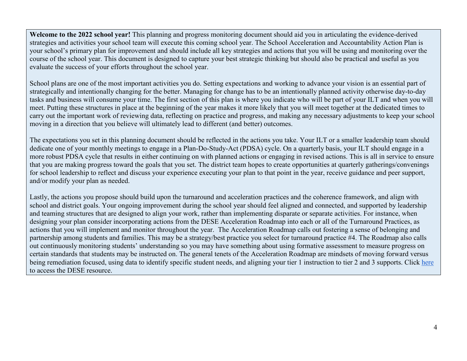**Welcome to the 2022 school year!** This planning and progress monitoring document should aid you in articulating the evidence-derived strategies and activities your school team will execute this coming school year. The School Acceleration and Accountability Action Plan is your school's primary plan for improvement and should include all key strategies and actions that you will be using and monitoring over the course of the school year. This document is designed to capture your best strategic thinking but should also be practical and useful as you evaluate the success of your efforts throughout the school year.

School plans are one of the most important activities you do. Setting expectations and working to advance your vision is an essential part of strategically and intentionally changing for the better. Managing for change has to be an intentionally planned activity otherwise day-to-day tasks and business will consume your time. The first section of this plan is where you indicate who will be part of your ILT and when you will meet. Putting these structures in place at the beginning of the year makes it more likely that you will meet together at the dedicated times to carry out the important work of reviewing data, reflecting on practice and progress, and making any necessary adjustments to keep your school moving in a direction that you believe will ultimately lead to different (and better) outcomes.

The expectations you set in this planning document should be reflected in the actions you take. Your ILT or a smaller leadership team should dedicate one of your monthly meetings to engage in a Plan-Do-Study-Act (PDSA) cycle. On a quarterly basis, your ILT should engage in a more robust PDSA cycle that results in either continuing on with planned actions or engaging in revised actions. This is all in service to ensure that you are making progress toward the goals that you set. The district team hopes to create opportunities at quarterly gatherings/convenings for school leadership to reflect and discuss your experience executing your plan to that point in the year, receive guidance and peer support, and/or modify your plan as needed.

Lastly, the actions you propose should build upon the turnaround and acceleration practices and the coherence framework, and align with school and district goals. Your ongoing improvement during the school year should feel aligned and connected, and supported by leadership and teaming structures that are designed to align your work, rather than implementing disparate or separate activities. For instance, when designing your plan consider incorporating actions from the DESE Acceleration Roadmap into each or all of the Turnaround Practices, as actions that you will implement and monitor throughout the year. The Acceleration Roadmap calls out fostering a sense of belonging and partnership among students and families. This may be a strategy/best practice you select for turnaround practice #4. The Roadmap also calls out continuously monitoring students' understanding so you may have something about using formative assessment to measure progress on certain standards that students may be instructed on. The general tenets of the Acceleration Roadmap are mindsets of moving forward versus being remediation focused, using data to identify specific student needs, and aligning your tier 1 instruction to tier 2 and 3 supports. Click [here](https://www.doe.mass.edu/covid19/on-desktop/roadmap/) to access the DESE resource.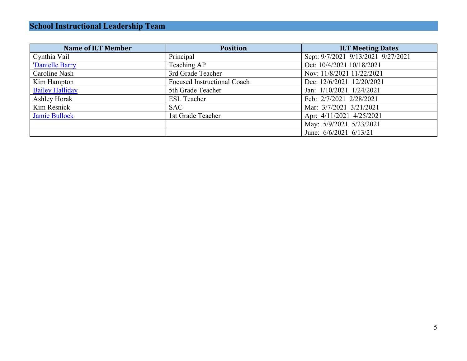| <b>Name of ILT Member</b> | <b>Position</b>                    | <b>ILT Meeting Dates</b>           |
|---------------------------|------------------------------------|------------------------------------|
| Cynthia Vail              | Principal                          | Sept: 9/7/2021 9/13/2021 9/27/2021 |
| 'Danielle Barry           | Teaching AP                        | Oct: 10/4/2021 10/18/2021          |
| Caroline Nash             | 3rd Grade Teacher                  | Nov: 11/8/2021 11/22/2021          |
| Kim Hampton               | <b>Focused Instructional Coach</b> | Dec: 12/6/2021 12/20/2021          |
| <b>Bailey Halliday</b>    | 5th Grade Teacher                  | Jan: 1/10/2021 1/24/2021           |
| Ashley Horak              | <b>ESL Teacher</b>                 | Feb: 2/7/2021 2/28/2021            |
| Kim Resnick               | <b>SAC</b>                         | Mar: 3/7/2021 3/21/2021            |
| Jamie Bullock             | 1st Grade Teacher                  | Apr: 4/11/2021 4/25/2021           |
|                           |                                    | May: 5/9/2021 5/23/2021            |
|                           |                                    | June: 6/6/2021 6/13/21             |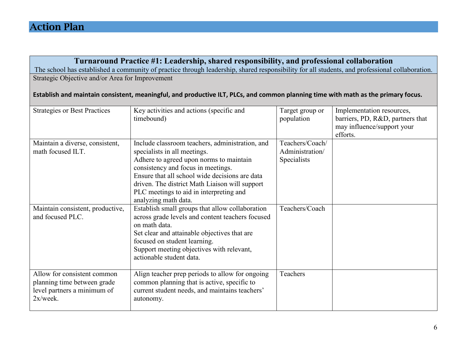|                                                                                                                                   | Turnaround Practice #1: Leadership, shared responsibility, and professional collaboration                                                                                                                                                                                                                                               |                                                   |                                                                                                         |
|-----------------------------------------------------------------------------------------------------------------------------------|-----------------------------------------------------------------------------------------------------------------------------------------------------------------------------------------------------------------------------------------------------------------------------------------------------------------------------------------|---------------------------------------------------|---------------------------------------------------------------------------------------------------------|
|                                                                                                                                   | The school has established a community of practice through leadership, shared responsibility for all students, and professional collaboration.                                                                                                                                                                                          |                                                   |                                                                                                         |
| Strategic Objective and/or Area for Improvement                                                                                   |                                                                                                                                                                                                                                                                                                                                         |                                                   |                                                                                                         |
| Establish and maintain consistent, meaningful, and productive ILT, PLCs, and common planning time with math as the primary focus. |                                                                                                                                                                                                                                                                                                                                         |                                                   |                                                                                                         |
| <b>Strategies or Best Practices</b>                                                                                               | Key activities and actions (specific and<br>timebound)                                                                                                                                                                                                                                                                                  | Target group or<br>population                     | Implementation resources,<br>barriers, PD, R&D, partners that<br>may influence/support your<br>efforts. |
| Maintain a diverse, consistent,<br>math focused ILT.                                                                              | Include classroom teachers, administration, and<br>specialists in all meetings.<br>Adhere to agreed upon norms to maintain<br>consistency and focus in meetings.<br>Ensure that all school wide decisions are data<br>driven. The district Math Liaison will support<br>PLC meetings to aid in interpreting and<br>analyzing math data. | Teachers/Coach/<br>Administration/<br>Specialists |                                                                                                         |
| Maintain consistent, productive,<br>and focused PLC.                                                                              | Establish small groups that allow collaboration<br>across grade levels and content teachers focused<br>on math data.<br>Set clear and attainable objectives that are<br>focused on student learning.<br>Support meeting objectives with relevant,<br>actionable student data.                                                           | Teachers/Coach                                    |                                                                                                         |
| Allow for consistent common<br>planning time between grade<br>level partners a minimum of<br>2x/week.                             | Align teacher prep periods to allow for ongoing<br>common planning that is active, specific to<br>current student needs, and maintains teachers'<br>autonomy.                                                                                                                                                                           | Teachers                                          |                                                                                                         |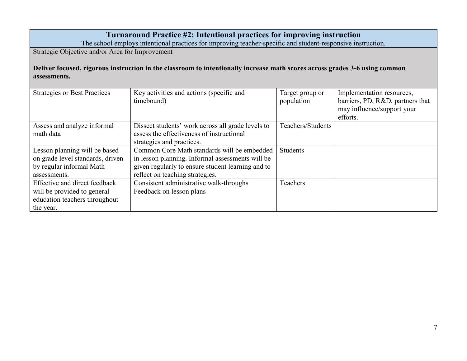|                                                                                                                                             | Turnaround Practice #2: Intentional practices for improving instruction<br>The school employs intentional practices for improving teacher-specific and student-responsive instruction.  |                               |                                                                                                         |
|---------------------------------------------------------------------------------------------------------------------------------------------|-----------------------------------------------------------------------------------------------------------------------------------------------------------------------------------------|-------------------------------|---------------------------------------------------------------------------------------------------------|
| Strategic Objective and/or Area for Improvement                                                                                             |                                                                                                                                                                                         |                               |                                                                                                         |
| Deliver focused, rigorous instruction in the classroom to intentionally increase math scores across grades 3-6 using common<br>assessments. |                                                                                                                                                                                         |                               |                                                                                                         |
| <b>Strategies or Best Practices</b>                                                                                                         | Key activities and actions (specific and<br>timebound)                                                                                                                                  | Target group or<br>population | Implementation resources,<br>barriers, PD, R&D, partners that<br>may influence/support your<br>efforts. |
| Assess and analyze informal<br>math data                                                                                                    | Dissect students' work across all grade levels to<br>assess the effectiveness of instructional<br>strategies and practices.                                                             | Teachers/Students             |                                                                                                         |
| Lesson planning will be based<br>on grade level standards, driven<br>by regular informal Math<br>assessments.                               | Common Core Math standards will be embedded<br>in lesson planning. Informal assessments will be<br>given regularly to ensure student learning and to<br>reflect on teaching strategies. | Students                      |                                                                                                         |
| Effective and direct feedback<br>will be provided to general<br>education teachers throughout<br>the year.                                  | Consistent administrative walk-throughs<br>Feedback on lesson plans                                                                                                                     | Teachers                      |                                                                                                         |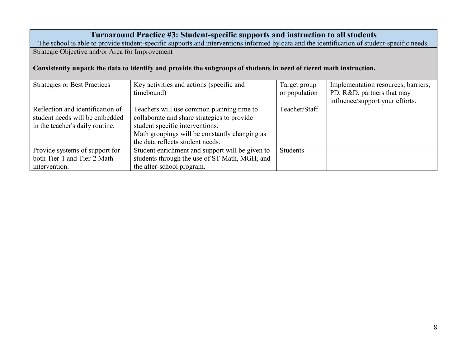#### **Turnaround Practice #3: Student-specific supports and instruction to all students**

The school is able to provide student-specific supports and interventions informed by data and the identification of student-specific needs. Strategic Objective and/or Area for Improvement

**Consistently unpack the data to identify and provide the subgroups of students in need of tiered math instruction.** 

| <b>Strategies or Best Practices</b> | Key activities and actions (specific and        | Target group    | Implementation resources, barriers, |
|-------------------------------------|-------------------------------------------------|-----------------|-------------------------------------|
|                                     | timebound)                                      | or population   | PD, R&D, partners that may          |
|                                     |                                                 |                 | influence/support your efforts.     |
| Reflection and identification of    | Teachers will use common planning time to       | Teacher/Staff   |                                     |
| student needs will be embedded      | collaborate and share strategies to provide     |                 |                                     |
| in the teacher's daily routine.     | student specific interventions.                 |                 |                                     |
|                                     | Math groupings will be constantly changing as   |                 |                                     |
|                                     | the data reflects student needs.                |                 |                                     |
| Provide systems of support for      | Student enrichment and support will be given to | <b>Students</b> |                                     |
| both Tier-1 and Tier-2 Math         | students through the use of ST Math, MGH, and   |                 |                                     |
| intervention.                       | the after-school program.                       |                 |                                     |